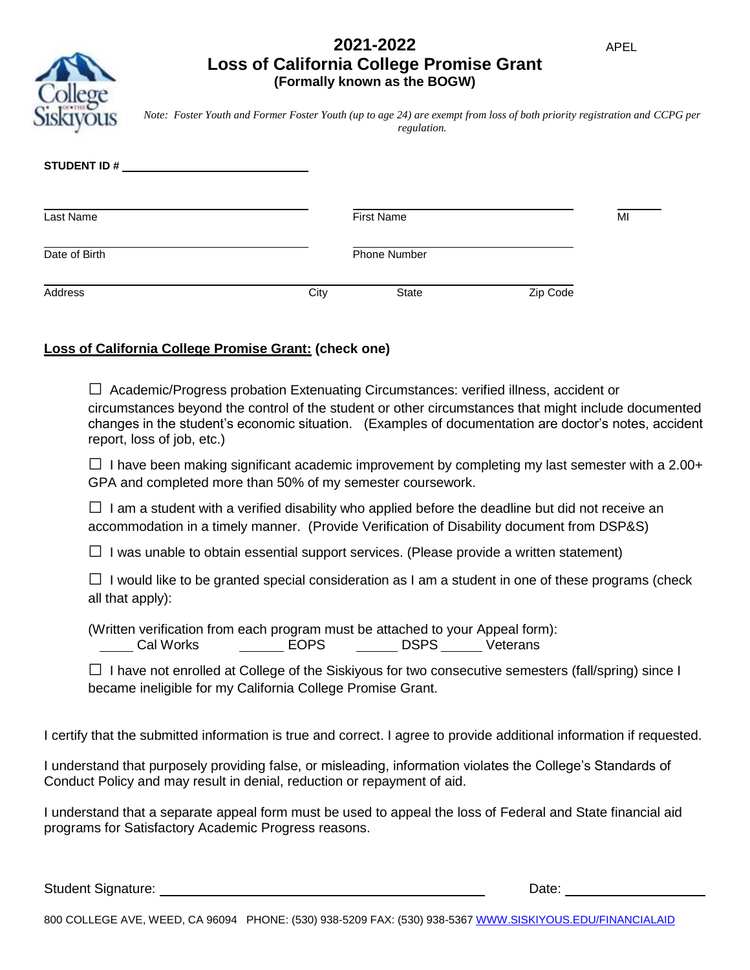# **2021-2022 Loss of California College Promise Grant (Formally known as the BOGW)**

*Note: Foster Youth and Former Foster Youth (up to age 24) are exempt from loss of both priority registration and CCPG per regulation.*

| <b>STUDENT ID#</b> |      |                     |          |    |
|--------------------|------|---------------------|----------|----|
| Last Name          |      | <b>First Name</b>   |          | MI |
| Date of Birth      |      | <b>Phone Number</b> |          |    |
| Address            | City | <b>State</b>        | Zip Code |    |

# **Loss of California College Promise Grant: (check one)**

 $\Box$  Academic/Progress probation Extenuating Circumstances: verified illness, accident or circumstances beyond the control of the student or other circumstances that might include documented changes in the student's economic situation. (Examples of documentation are doctor's notes, accident report, loss of job, etc.)

 $\Box$  I have been making significant academic improvement by completing my last semester with a 2.00+ GPA and completed more than 50% of my semester coursework.

 $\Box$  I am a student with a verified disability who applied before the deadline but did not receive an accommodation in a timely manner. (Provide Verification of Disability document from DSP&S)

 $\Box$  I was unable to obtain essential support services. (Please provide a written statement)

 $\Box$  I would like to be granted special consideration as I am a student in one of these programs (check all that apply):

(Written verification from each program must be attached to your Appeal form): Lacked Morks Corp. Lacked Corp. Lacked Corp. 2014 Morks Corp. 2014 Morked Corp. 2016

 $\square$  I have not enrolled at College of the Siskiyous for two consecutive semesters (fall/spring) since I became ineligible for my California College Promise Grant.

I certify that the submitted information is true and correct. I agree to provide additional information if requested.

I understand that purposely providing false, or misleading, information violates the College's Standards of Conduct Policy and may result in denial, reduction or repayment of aid.

I understand that a separate appeal form must be used to appeal the loss of Federal and State financial aid programs for Satisfactory Academic Progress reasons.

Student Signature: Date: Date: Date: Date: Date: Date: Date: Date: Date: Date: Date: Date: Date: Date: Date: Date: Date: Date: Date: Date: Date: Date: Date: Date: Date: Date: Date: Date: Date: Date: Date: Date: Date: Date: